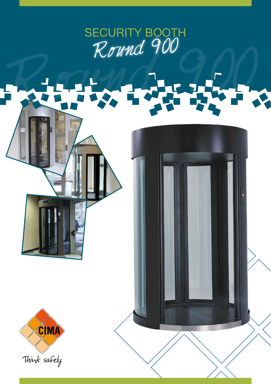